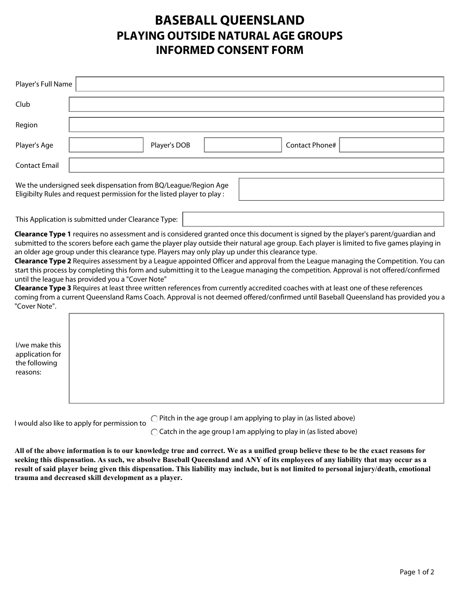## **BASEBALL QUEENSLAND PLAYING OUTSIDE NATURAL AGE GROUPS INFORMED CONSENT FORM**

| Player's Full Name                                                                                                  |                                                                                                                                                       |              |  |                |                                                                                                                                                                                                                                                                                                                                                                                                                                                                                                                                                                                                                                                                                                                                                                                                                                              |  |  |  |
|---------------------------------------------------------------------------------------------------------------------|-------------------------------------------------------------------------------------------------------------------------------------------------------|--------------|--|----------------|----------------------------------------------------------------------------------------------------------------------------------------------------------------------------------------------------------------------------------------------------------------------------------------------------------------------------------------------------------------------------------------------------------------------------------------------------------------------------------------------------------------------------------------------------------------------------------------------------------------------------------------------------------------------------------------------------------------------------------------------------------------------------------------------------------------------------------------------|--|--|--|
| Club                                                                                                                |                                                                                                                                                       |              |  |                |                                                                                                                                                                                                                                                                                                                                                                                                                                                                                                                                                                                                                                                                                                                                                                                                                                              |  |  |  |
| Region                                                                                                              |                                                                                                                                                       |              |  |                |                                                                                                                                                                                                                                                                                                                                                                                                                                                                                                                                                                                                                                                                                                                                                                                                                                              |  |  |  |
| Player's Age                                                                                                        |                                                                                                                                                       | Player's DOB |  | Contact Phone# |                                                                                                                                                                                                                                                                                                                                                                                                                                                                                                                                                                                                                                                                                                                                                                                                                                              |  |  |  |
| <b>Contact Email</b>                                                                                                |                                                                                                                                                       |              |  |                |                                                                                                                                                                                                                                                                                                                                                                                                                                                                                                                                                                                                                                                                                                                                                                                                                                              |  |  |  |
|                                                                                                                     | We the undersigned seek dispensation from BQ/League/Region Age<br>Eligibilty Rules and request permission for the listed player to play :             |              |  |                |                                                                                                                                                                                                                                                                                                                                                                                                                                                                                                                                                                                                                                                                                                                                                                                                                                              |  |  |  |
|                                                                                                                     | This Application is submitted under Clearance Type:                                                                                                   |              |  |                | $\mathbf{r}$                                                                                                                                                                                                                                                                                                                                                                                                                                                                                                                                                                                                                                                                                                                                                                                                                                 |  |  |  |
| "Cover Note".                                                                                                       | an older age group under this clearance type. Players may only play up under this clearance type.<br>until the league has provided you a "Cover Note" |              |  |                | Clearance Type 1 requires no assessment and is considered granted once this document is signed by the player's parent/guardian and<br>submitted to the scorers before each game the player play outside their natural age group. Each player is limited to five games playing in<br>Clearance Type 2 Requires assessment by a League appointed Officer and approval from the League managing the Competition. You can<br>start this process by completing this form and submitting it to the League managing the competition. Approval is not offered/confirmed<br>Clearance Type 3 Requires at least three written references from currently accredited coaches with at least one of these references<br>coming from a current Queensland Rams Coach. Approval is not deemed offered/confirmed until Baseball Queensland has provided you a |  |  |  |
| I/we make this<br>application for<br>the following<br>reasons:                                                      |                                                                                                                                                       |              |  |                |                                                                                                                                                                                                                                                                                                                                                                                                                                                                                                                                                                                                                                                                                                                                                                                                                                              |  |  |  |
| ) Pitch in the age group I am applying to play in (as listed above)<br>I would also like to apply for permission to |                                                                                                                                                       |              |  |                |                                                                                                                                                                                                                                                                                                                                                                                                                                                                                                                                                                                                                                                                                                                                                                                                                                              |  |  |  |

 $\bigcirc$  Catch in the age group I am applying to play in (as listed above)

**All of the above information is to our knowledge true and correct. We as a unified group believe these to be the exact reasons for seeking this dispensation. As such, we absolve Baseball Queensland and ANY of its employees of any liability that may occur as a result of said player being given this dispensation. This liability may include, but is not limited to personal injury/death, emotional trauma and decreased skill development as a player.**